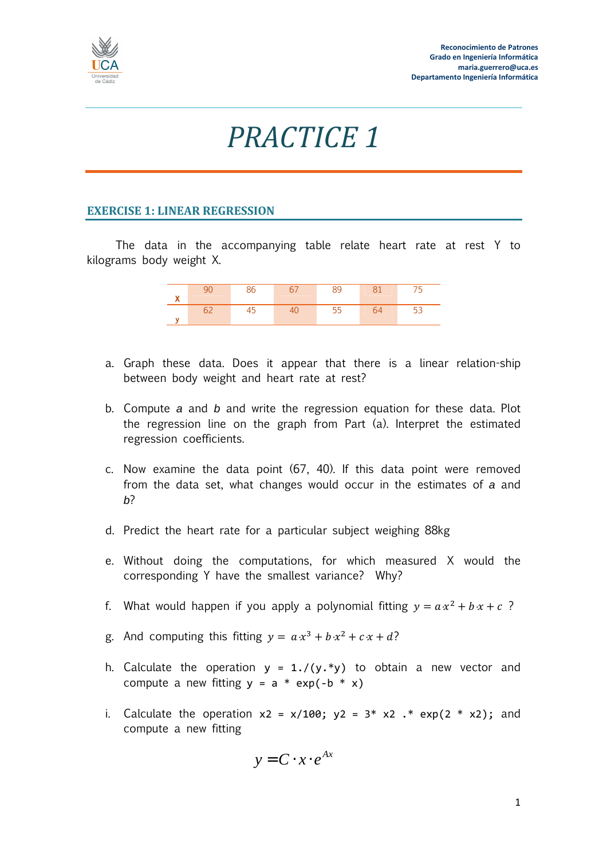

## *PRACTICE 1*

## **EXERCISE 1: LINEAR REGRESSION**

The data in the accompanying table relate heart rate at rest Y to kilograms body weight X.

- a. Graph these data. Does it appear that there is a linear relation-ship between body weight and heart rate at rest?
- b. Compute a and b and write the regression equation for these data. Plot the regression line on the graph from Part (a). Interpret the estimated regression coefficients.
- c. Now examine the data point (67, 40). If this data point were removed from the data set, what changes would occur in the estimates of a and  $h<sup>2</sup>$
- d. Predict the heart rate for a particular subject weighing 88kg
- e. Without doing the computations, for which measured X would the corresponding Y have the smallest variance? Why?
- f. What would happen if you apply a polynomial fitting  $y = a x^2 + b x + c$  ?
- g. And computing this fitting  $y = a x^3 + b x^2 + c x + d$ ?
- h. Calculate the operation  $y = 1.7(y.*y)$  to obtain a new vector and compute a new fitting  $y = a * exp(-b * x)$
- i. Calculate the operation  $x^2 = x/100$ ;  $y^2 = 3^* x^2$ . \* exp(2 \* x2); and compute a new fitting

$$
y = \mathbf{C} \cdot x \cdot e^{Ax}
$$